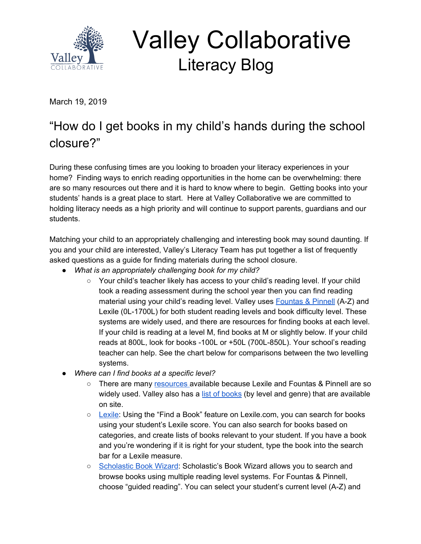

 Valley Collaborative Literacy Blog

March 19, 2019

## "How do I get books in my child's hands during the school closure?"

During these confusing times are you looking to broaden your literacy experiences in your home? Finding ways to enrich reading opportunities in the home can be overwhelming: there are so many resources out there and it is hard to know where to begin. Getting books into your students' hands is a great place to start. Here at Valley Collaborative we are committed to holding literacy needs as a high priority and will continue to support parents, guardians and our students.

Matching your child to an appropriately challenging and interesting book may sound daunting. If you and your child are interested, Valley's Literacy Team has put together a list of frequently asked questions as a guide for finding materials during the school closure.

- *What is an appropriately challenging book for my child?*
	- Your child's teacher likely has access to your child's reading level. If your child took a reading assessment during the school year then you can find reading material using your child's reading level. Valley uses **[Fountas](https://drive.google.com/open?id=1Il47OSuuXoWxQWYyPqAvW3IU9JYmjUqi) & Pinnell** (A-Z) and Lexile (0L-1700L) for both student reading levels and book difficulty level. These systems are widely used, and there are resources for finding books at each level. If your child is reading at a level M, find books at M or slightly below. If your child reads at 800L, look for books -100L or +50L (700L-850L). Your school's reading teacher can help. See the chart below for comparisons between the two levelling systems.
- *Where can I find books at a specific level?*
	- There are many [resources](https://docs.google.com/document/d/1baUqVjCKs_DLXvx1MCo4NNiIAAj8ISZw2ztrj8dtS8A/edit?ts=5e723532) available because Lexile and Fountas & Pinnell are so widely used. Valley also has a list of [books](https://docs.google.com/spreadsheets/d/1b8xVj8jjLwHIzsmq9wqUTk52H0puY9Jk2zilTfGE-ME/edit?usp=sharing) (by level and genre) that are available on site.
	- [Lexile](https://fab.lexile.com/): Using the "Find a Book" feature on Lexile.com, you can search for books using your student's Lexile score. You can also search for books based on categories, and create lists of books relevant to your student. If you have a book and you're wondering if it is right for your student, type the book into the search bar for a Lexile measure.
	- [Scholastic](https://www.scholastic.com/teachers/bookwizard/) Book Wizard: Scholastic's Book Wizard allows you to search and browse books using multiple reading level systems. For Fountas & Pinnell, choose "guided reading". You can select your student's current level (A-Z) and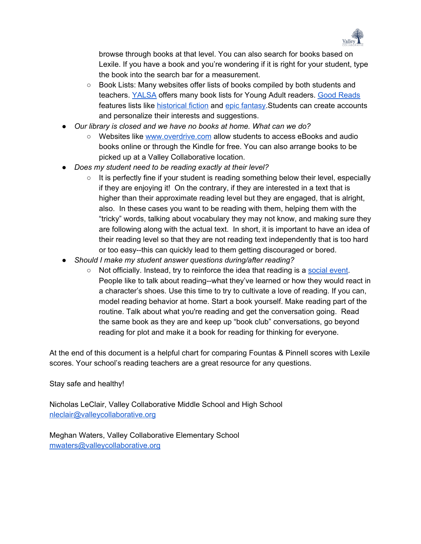

browse through books at that level. You can also search for books based on Lexile. If you have a book and you're wondering if it is right for your student, type the book into the search bar for a measurement.

- Book Lists: Many websites offer lists of books compiled by both students and teachers. [YALSA](http://www.ala.org/yalsa/booklistsawards/booklists) offers many book lists for Young Adult readers. Good [Reads](https://www.goodreads.com/list) features lists like **[historical](https://www.goodreads.com/list/show/15.Best_Historical_Fiction) fiction** and **epic [fantasy](https://www.goodreads.com/list/show/50.The_Best_Epic_Fantasy_fiction_)**. Students can create accounts and personalize their interests and suggestions.
- *● Our library is closed and we have no books at home. What can we do?*
	- Websites like [www.overdrive.com](http://www.overdrive.com/) allow students to access eBooks and audio books online or through the Kindle for free. You can also arrange books to be picked up at a Valley Collaborative location.
- *Does my student need to be reading exactly at their level?*
	- It is perfectly fine if your student is reading something below their level, especially if they are enjoying it! On the contrary, if they are interested in a text that is higher than their approximate reading level but they are engaged, that is alright, also. In these cases you want to be reading with them, helping them with the "tricky" words, talking about vocabulary they may not know, and making sure they are following along with the actual text. In short, it is important to have an idea of their reading level so that they are not reading text independently that is too hard or too easy--this can quickly lead to them getting discouraged or bored.
- *● Should I make my student answer questions during/after reading?*
	- $\circ$  Not officially. Instead, try to reinforce the idea that reading is a [social](https://medium.com/the-coffeelicious/why-reading-is-a-social-activity-76cea90d1407) event. People like to talk about reading--what they've learned or how they would react in a character's shoes. Use this time to try to cultivate a love of reading. If you can, model reading behavior at home. Start a book yourself. Make reading part of the routine. Talk about what you're reading and get the conversation going. Read the same book as they are and keep up "book club" conversations, go beyond reading for plot and make it a book for reading for thinking for everyone.

At the end of this document is a helpful chart for comparing Fountas & Pinnell scores with Lexile scores. Your school's reading teachers are a great resource for any questions.

## Stay safe and healthy!

Nicholas LeClair, Valley Collaborative Middle School and High School [nleclair@valleycollaborative.org](mailto:nleclair@valleycollaborative.org)

Meghan Waters, Valley Collaborative Elementary School [mwaters@valleycollaborative.org](mailto:mwaters@valleycollaborative.org)